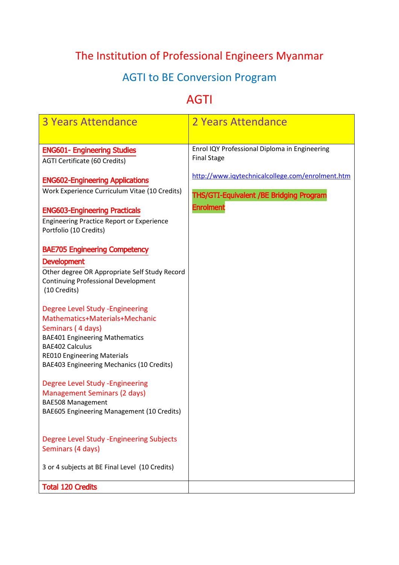# The Institution of Professional Engineers Myanmar

## AGTI to BE Conversion Program

## AGTI

| <b>3 Years Attendance</b>                                                                                                                                                                                                                     | 2 Years Attendance                                                                                              |
|-----------------------------------------------------------------------------------------------------------------------------------------------------------------------------------------------------------------------------------------------|-----------------------------------------------------------------------------------------------------------------|
| <b>ENG601- Engineering Studies</b><br><b>AGTI Certificate (60 Credits)</b>                                                                                                                                                                    | Enrol IQY Professional Diploma in Engineering<br><b>Final Stage</b>                                             |
| <b>ENG602-Engineering Applications</b><br>Work Experience Curriculum Vitae (10 Credits)<br><b>ENG603-Engineering Practicals</b><br><b>Engineering Practice Report or Experience</b>                                                           | http://www.iqytechnicalcollege.com/enrolment.htm<br>THS/GTI-Equivalent /BE Bridging Program<br><b>Enrolment</b> |
| Portfolio (10 Credits)<br><b>BAE705 Engineering Competency</b>                                                                                                                                                                                |                                                                                                                 |
| <b>Development</b><br>Other degree OR Appropriate Self Study Record<br><b>Continuing Professional Development</b><br>(10 Credits)                                                                                                             |                                                                                                                 |
| Degree Level Study - Engineering<br>Mathematics+Materials+Mechanic<br>Seminars (4 days)<br><b>BAE401 Engineering Mathematics</b><br><b>BAE402 Calculus</b><br><b>RE010 Engineering Materials</b><br>BAE403 Engineering Mechanics (10 Credits) |                                                                                                                 |
| Degree Level Study - Engineering<br><b>Management Seminars (2 days)</b><br><b>BAE508 Management</b><br>BAE605 Engineering Management (10 Credits)                                                                                             |                                                                                                                 |
| Degree Level Study - Engineering Subjects<br>Seminars (4 days)                                                                                                                                                                                |                                                                                                                 |
| 3 or 4 subjects at BE Final Level (10 Credits)                                                                                                                                                                                                |                                                                                                                 |
| <b>Total 120 Credits</b>                                                                                                                                                                                                                      |                                                                                                                 |